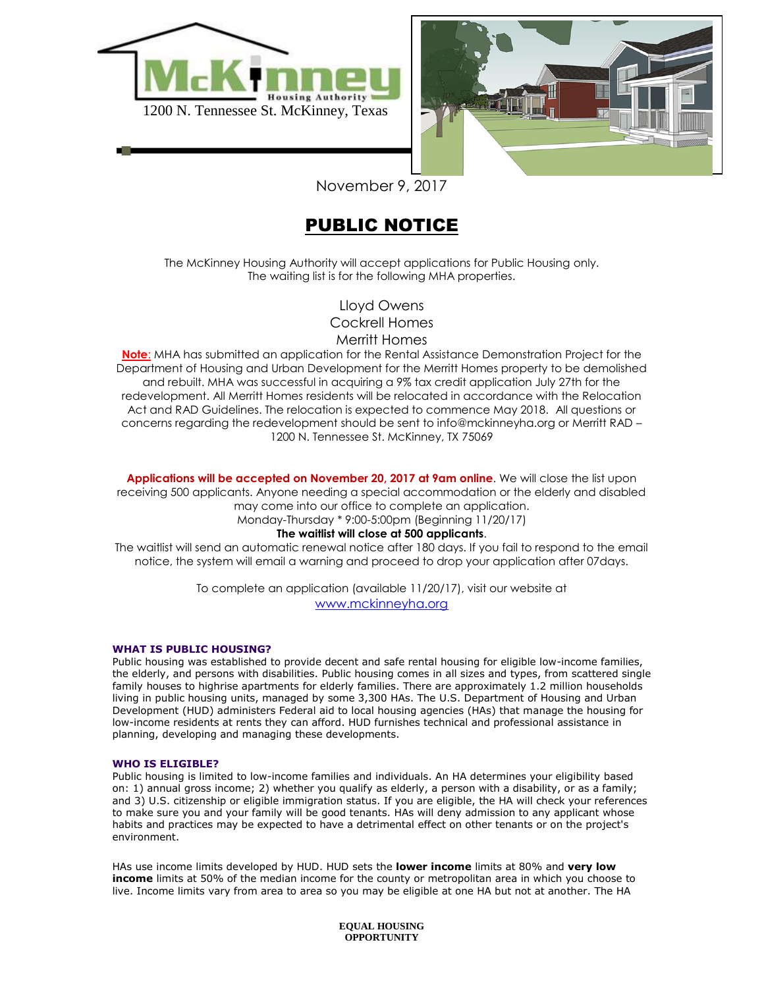



November 9, 2017

# PUBLIC NOTICE

The McKinney Housing Authority will accept applications for Public Housing only. The waiting list is for the following MHA properties.

> Lloyd Owens Cockrell Homes Merritt Homes

**Note**: MHA has submitted an application for the Rental Assistance Demonstration Project for the Department of Housing and Urban Development for the Merritt Homes property to be demolished and rebuilt. MHA was successful in acquiring a 9% tax credit application July 27th for the redevelopment. All Merritt Homes residents will be relocated in accordance with the Relocation Act and RAD Guidelines. The relocation is expected to commence May 2018. All questions or concerns regarding the redevelopment should be sent to info@mckinneyha.org or Merritt RAD – 1200 N. Tennessee St. McKinney, TX 75069

**Applications will be accepted on November 20, 2017 at 9am online**. We will close the list upon receiving 500 applicants. Anyone needing a special accommodation or the elderly and disabled may come into our office to complete an application. Monday-Thursday \* 9:00-5:00pm (Beginning 11/20/17)

### **The waitlist will close at 500 applicants**.

The waitlist will send an automatic renewal notice after 180 days. If you fail to respond to the email notice, the system will email a warning and proceed to drop your application after 07days.

> To complete an application (available 11/20/17), visit our website at [www.mckinneyha.org](http://www.mckinneyha.org/)

### **WHAT IS PUBLIC HOUSING?**

Public housing was established to provide decent and safe rental housing for eligible low-income families, the elderly, and persons with disabilities. Public housing comes in all sizes and types, from scattered single family houses to highrise apartments for elderly families. There are approximately 1.2 million households living in public housing units, managed by some 3,300 HAs. The U.S. Department of Housing and Urban Development (HUD) administers Federal aid to local housing agencies (HAs) that manage the housing for low-income residents at rents they can afford. HUD furnishes technical and professional assistance in planning, developing and managing these developments.

### **WHO IS ELIGIBLE?**

Public housing is limited to low-income families and individuals. An HA determines your eligibility based on: 1) annual gross income; 2) whether you qualify as elderly, a person with a disability, or as a family; and 3) U.S. citizenship or eligible immigration status. If you are eligible, the HA will check your references to make sure you and your family will be good tenants. HAs will deny admission to any applicant whose habits and practices may be expected to have a detrimental effect on other tenants or on the project's environment.

HAs use income limits developed by HUD. HUD sets the **lower income** limits at 80% and **very low income** limits at 50% of the median income for the county or metropolitan area in which you choose to live. Income limits vary from area to area so you may be eligible at one HA but not at another. The HA

> **EQUAL HOUSING OPPORTUNITY**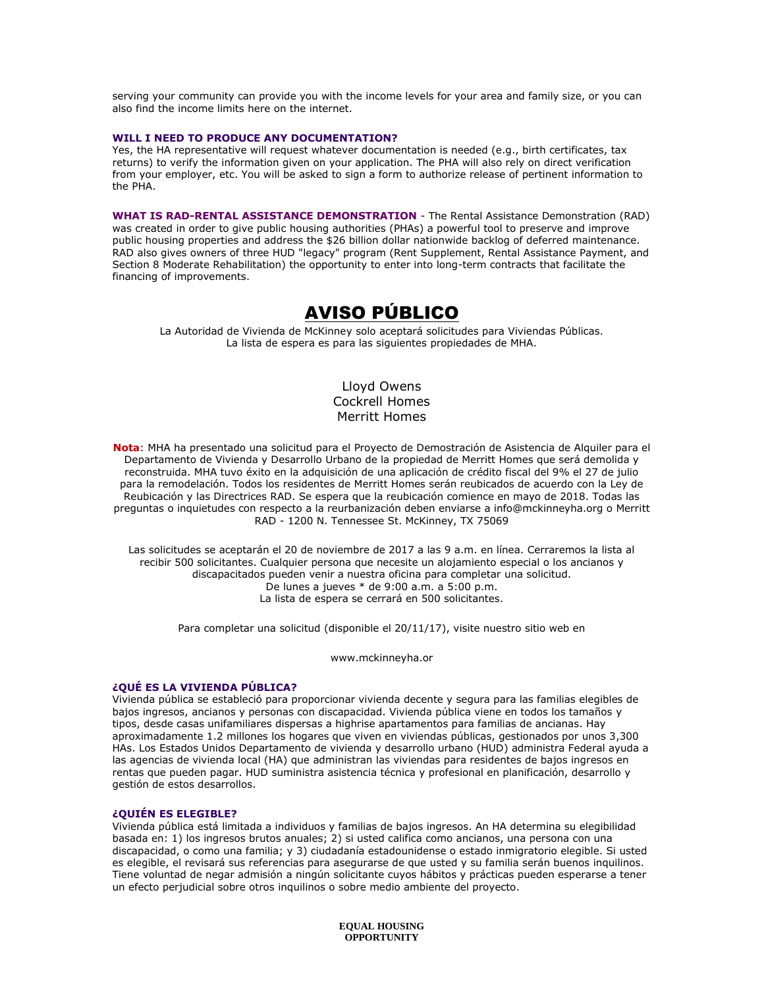serving your community can provide you with the income levels for your area and family size, or you can also find the income limits here on the internet.

### **WILL I NEED TO PRODUCE ANY DOCUMENTATION?**

Yes, the HA representative will request whatever documentation is needed (e.g., birth certificates, tax returns) to verify the information given on your application. The PHA will also rely on direct verification from your employer, etc. You will be asked to sign a form to authorize release of pertinent information to the PHA.

**WHAT IS RAD-RENTAL ASSISTANCE DEMONSTRATION** - The Rental Assistance Demonstration (RAD) was created in order to give public housing authorities (PHAs) a powerful tool to preserve and improve public housing properties and address the \$26 billion dollar nationwide backlog of deferred maintenance. RAD also gives owners of three HUD "legacy" program (Rent Supplement, Rental Assistance Payment, and Section 8 Moderate Rehabilitation) the opportunity to enter into long-term contracts that facilitate the financing of improvements.

## AVISO PÚBLICO

La Autoridad de Vivienda de McKinney solo aceptará solicitudes para Viviendas Públicas. La lista de espera es para las siguientes propiedades de MHA.

## Lloyd Owens Cockrell Homes Merritt Homes

**Nota**: MHA ha presentado una solicitud para el Proyecto de Demostración de Asistencia de Alquiler para el Departamento de Vivienda y Desarrollo Urbano de la propiedad de Merritt Homes que será demolida y reconstruida. MHA tuvo éxito en la adquisición de una aplicación de crédito fiscal del 9% el 27 de julio para la remodelación. Todos los residentes de Merritt Homes serán reubicados de acuerdo con la Ley de Reubicación y las Directrices RAD. Se espera que la reubicación comience en mayo de 2018. Todas las preguntas o inquietudes con respecto a la reurbanización deben enviarse a info@mckinneyha.org o Merritt RAD - 1200 N. Tennessee St. McKinney, TX 75069

Las solicitudes se aceptarán el 20 de noviembre de 2017 a las 9 a.m. en línea. Cerraremos la lista al recibir 500 solicitantes. Cualquier persona que necesite un alojamiento especial o los ancianos y discapacitados pueden venir a nuestra oficina para completar una solicitud. De lunes a jueves \* de 9:00 a.m. a 5:00 p.m. La lista de espera se cerrará en 500 solicitantes.

Para completar una solicitud (disponible el 20/11/17), visite nuestro sitio web en

www.mckinneyha.or

### **¿QUÉ ES LA VIVIENDA PÚBLICA?**

Vivienda pública se estableció para proporcionar vivienda decente y segura para las familias elegibles de bajos ingresos, ancianos y personas con discapacidad. Vivienda pública viene en todos los tamaños y tipos, desde casas unifamiliares dispersas a highrise apartamentos para familias de ancianas. Hay aproximadamente 1.2 millones los hogares que viven en viviendas públicas, gestionados por unos 3,300 HAs. Los Estados Unidos Departamento de vivienda y desarrollo urbano (HUD) administra Federal ayuda a las agencias de vivienda local (HA) que administran las viviendas para residentes de bajos ingresos en rentas que pueden pagar. HUD suministra asistencia técnica y profesional en planificación, desarrollo y gestión de estos desarrollos.

### **¿QUIÉN ES ELEGIBLE?**

Vivienda pública está limitada a individuos y familias de bajos ingresos. An HA determina su elegibilidad basada en: 1) los ingresos brutos anuales; 2) si usted califica como ancianos, una persona con una discapacidad, o como una familia; y 3) ciudadanía estadounidense o estado inmigratorio elegible. Si usted es elegible, el revisará sus referencias para asegurarse de que usted y su familia serán buenos inquilinos. Tiene voluntad de negar admisión a ningún solicitante cuyos hábitos y prácticas pueden esperarse a tener un efecto perjudicial sobre otros inquilinos o sobre medio ambiente del proyecto.

> **EQUAL HOUSING OPPORTUNITY**